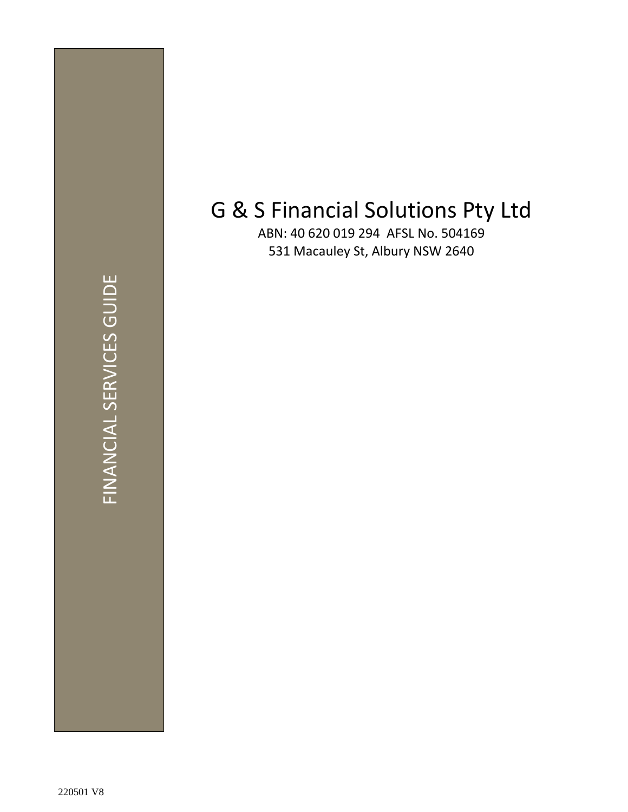# G & S Financial Solutions Pty Ltd

ABN: 40 620 019 294 AFSL No. 504169 531 Macauley St, Albury NSW 2640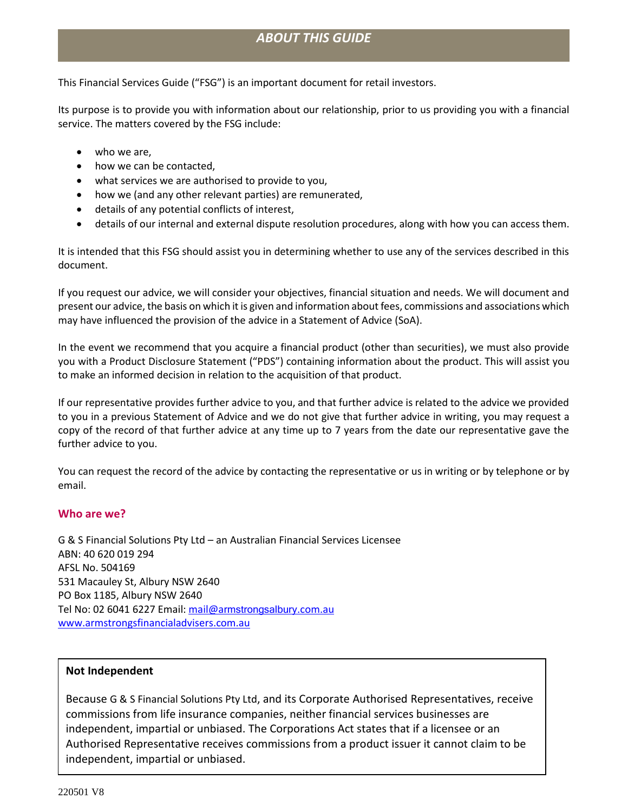## *ABOUT THIS GUIDE*

This Financial Services Guide ("FSG") is an important document for retail investors.

Its purpose is to provide you with information about our relationship, prior to us providing you with a financial service. The matters covered by the FSG include:

- who we are.
- how we can be contacted,
- what services we are authorised to provide to you,
- how we (and any other relevant parties) are remunerated,
- details of any potential conflicts of interest,
- details of our internal and external dispute resolution procedures, along with how you can access them.

It is intended that this FSG should assist you in determining whether to use any of the services described in this document.

If you request our advice, we will consider your objectives, financial situation and needs. We will document and present our advice, the basis on which it is given and information about fees, commissions and associations which may have influenced the provision of the advice in a Statement of Advice (SoA).

In the event we recommend that you acquire a financial product (other than securities), we must also provide you with a Product Disclosure Statement ("PDS") containing information about the product. This will assist you to make an informed decision in relation to the acquisition of that product.

If our representative provides further advice to you, and that further advice is related to the advice we provided to you in a previous Statement of Advice and we do not give that further advice in writing, you may request a copy of the record of that further advice at any time up to 7 years from the date our representative gave the further advice to you.

You can request the record of the advice by contacting the representative or us in writing or by telephone or by email.

#### **Who are we?**

G & S Financial Solutions Pty Ltd – an Australian Financial Services Licensee ABN: 40 620 019 294 AFSL No. 504169 531 Macauley St, Albury NSW 2640 PO Box 1185, Albury NSW 2640 Tel No: 02 6041 6227 Email: mail@a[rmstrongsalbury](mailto:mail@armstrongsalbury.com.au).com.au www.armstrongsfinancialadvisers.com.au

#### **Not Independent**

Because G & S Financial Solutions Pty Ltd, and its Corporate Authorised Representatives, receive commissions from life insurance companies, neither financial services businesses are independent, impartial or unbiased. The Corporations Act states that if a licensee or an Authorised Representative receives commissions from a product issuer it cannot claim to be independent, impartial or unbiased.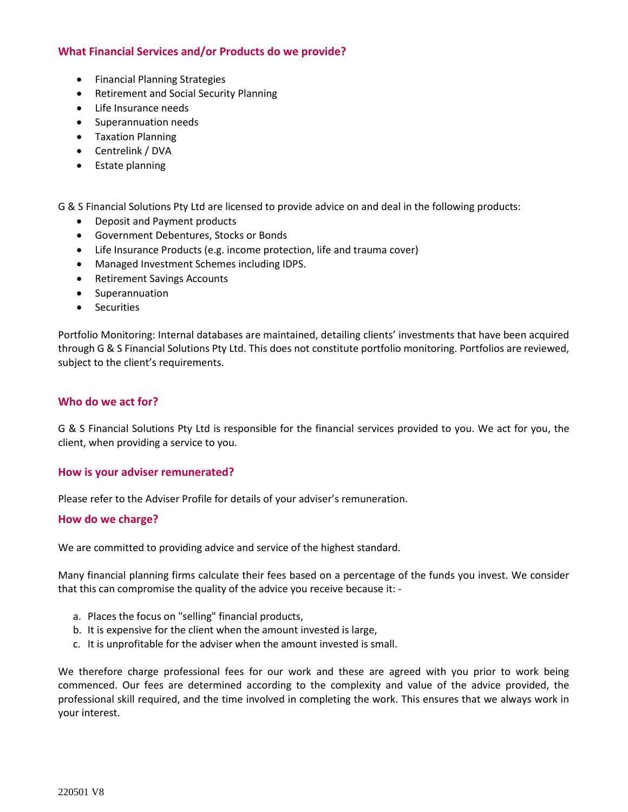### **What Financial Services and/or Products do we provide?**

- Financial Planning Strategies
- Retirement and Social Security Planning
- Life Insurance needs
- Superannuation needs
- Taxation Planning
- Centrelink / DVA
- Estate planning

G & S Financial Solutions Pty Ltd are licensed to provide advice on and deal in the following products:

- Deposit and Payment products
- Government Debentures, Stocks or Bonds
- Life Insurance Products (e.g. income protection, life and trauma cover)
- Managed Investment Schemes including IDPS.
- Retirement Savings Accounts
- Superannuation
- Securities

Portfolio Monitoring: Internal databases are maintained, detailing clients' investments that have been acquired through G & S Financial Solutions Pty Ltd. This does not constitute portfolio monitoring. Portfolios are reviewed, subject to the client's requirements.

#### **Who do we act for?**

G & S Financial Solutions Pty Ltd is responsible for the financial services provided to you. We act for you, the client, when providing a service to you.

#### **How is your adviser remunerated?**

Please refer to the Adviser Profile for details of your adviser's remuneration.

#### **How do we charge?**

We are committed to providing advice and service of the highest standard.

Many financial planning firms calculate their fees based on a percentage of the funds you invest. We consider that this can compromise the quality of the advice you receive because it: -

- a. Places the focus on "selling" financial products,
- b. It is expensive for the client when the amount invested is large,
- c. It is unprofitable for the adviser when the amount invested is small.

We therefore charge professional fees for our work and these are agreed with you prior to work being commenced. Our fees are determined according to the complexity and value of the advice provided, the professional skill required, and the time involved in completing the work. This ensures that we always work in your interest.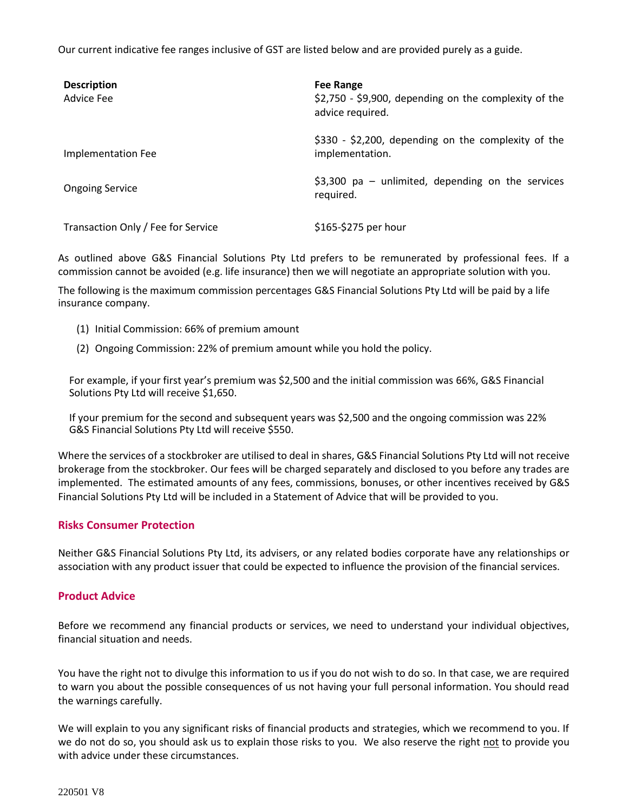Our current indicative fee ranges inclusive of GST are listed below and are provided purely as a guide.

| <b>Description</b><br><b>Advice Fee</b> | <b>Fee Range</b><br>$$2,750$ - \$9,900, depending on the complexity of the<br>advice required. |
|-----------------------------------------|------------------------------------------------------------------------------------------------|
| Implementation Fee                      | $$330 - $2,200$ , depending on the complexity of the<br>implementation.                        |
| <b>Ongoing Service</b>                  | \$3,300 pa $-$ unlimited, depending on the services<br>required.                               |
| Transaction Only / Fee for Service      | \$165-\$275 per hour                                                                           |

As outlined above G&S Financial Solutions Pty Ltd prefers to be remunerated by professional fees. If a commission cannot be avoided (e.g. life insurance) then we will negotiate an appropriate solution with you.

The following is the maximum commission percentages G&S Financial Solutions Pty Ltd will be paid by a life insurance company.

- (1) Initial Commission: 66% of premium amount
- (2) Ongoing Commission: 22% of premium amount while you hold the policy.

For example, if your first year's premium was \$2,500 and the initial commission was 66%, G&S Financial Solutions Pty Ltd will receive \$1,650.

If your premium for the second and subsequent years was \$2,500 and the ongoing commission was 22% G&S Financial Solutions Pty Ltd will receive \$550.

Where the services of a stockbroker are utilised to deal in shares, G&S Financial Solutions Pty Ltd will not receive brokerage from the stockbroker. Our fees will be charged separately and disclosed to you before any trades are implemented. The estimated amounts of any fees, commissions, bonuses, or other incentives received by G&S Financial Solutions Pty Ltd will be included in a Statement of Advice that will be provided to you.

#### **Risks Consumer Protection**

Neither G&S Financial Solutions Pty Ltd, its advisers, or any related bodies corporate have any relationships or association with any product issuer that could be expected to influence the provision of the financial services.

#### **Product Advice**

Before we recommend any financial products or services, we need to understand your individual objectives, financial situation and needs.

You have the right not to divulge this information to us if you do not wish to do so. In that case, we are required to warn you about the possible consequences of us not having your full personal information. You should read the warnings carefully.

We will explain to you any significant risks of financial products and strategies, which we recommend to you. If we do not do so, you should ask us to explain those risks to you. We also reserve the right not to provide you with advice under these circumstances.